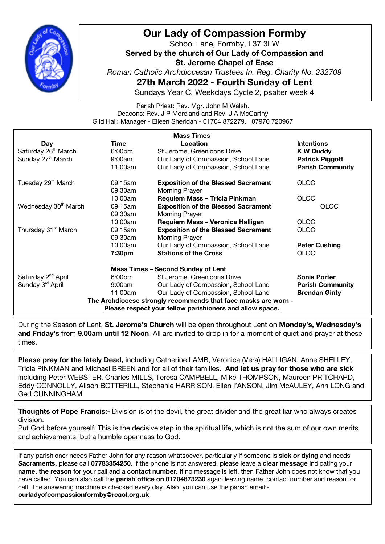

## **Our Lady of Compassion Formby**

School Lane, Formby, L37 3LW **Served by the church of Our Lady of Compassion and St. Jerome Chapel of Ease** *Roman Catholic Archdiocesan Trustees In. Reg. Charity No. 232709* **27th March 2022 - Fourth Sunday of Lent**

Sundays Year C, Weekdays Cycle 2, psalter week 4

Parish Priest: Rev. Mgr. John M Walsh. Deacons: Rev. J P Moreland and Rev. J A McCarthy Gild Hall: Manager - Eileen Sheridan - 01704 872279, 07970 720967

| <b>Mass Times</b>                                              |                    |                                            |                         |  |
|----------------------------------------------------------------|--------------------|--------------------------------------------|-------------------------|--|
| Day                                                            | Time               | Location                                   | <b>Intentions</b>       |  |
| Saturday 26 <sup>th</sup> March                                | 6:00 <sub>pm</sub> | St Jerome, Greenloons Drive                | <b>K W Duddy</b>        |  |
| Sunday 27 <sup>th</sup> March                                  | 9:00am             | Our Lady of Compassion, School Lane        | <b>Patrick Piggott</b>  |  |
|                                                                | 11:00am            | Our Lady of Compassion, School Lane        | <b>Parish Community</b> |  |
| Tuesday 29 <sup>th</sup> March                                 | 09:15am            | <b>Exposition of the Blessed Sacrament</b> | <b>OLOC</b>             |  |
|                                                                | 09:30am            | Morning Prayer                             |                         |  |
|                                                                | 10:00am            | <b>Requiem Mass - Tricia Pinkman</b>       | <b>OLOC</b>             |  |
| Wednesday 30 <sup>th</sup> March                               | 09:15am            | <b>Exposition of the Blessed Sacrament</b> | <b>OLOC</b>             |  |
|                                                                | 09:30am            | Morning Prayer                             |                         |  |
|                                                                | 10:00am            | Requiem Mass - Veronica Halligan           | <b>OLOC</b>             |  |
| Thursday 31 <sup>st</sup> March                                | 09:15am            | <b>Exposition of the Blessed Sacrament</b> | <b>OLOC</b>             |  |
|                                                                | 09:30am            | <b>Morning Prayer</b>                      |                         |  |
|                                                                | 10:00am            | Our Lady of Compassion, School Lane        | <b>Peter Cushing</b>    |  |
|                                                                | 7:30pm             | <b>Stations of the Cross</b>               | <b>OLOC</b>             |  |
| <b>Mass Times - Second Sunday of Lent</b>                      |                    |                                            |                         |  |
| Saturday 2 <sup>nd</sup> April                                 | 6:00 <sub>pm</sub> | St Jerome, Greenloons Drive                | <b>Sonia Porter</b>     |  |
| Sunday 3rd April                                               | 9:00am             | Our Lady of Compassion, School Lane        | <b>Parish Community</b> |  |
|                                                                | 11:00am            | Our Lady of Compassion, School Lane        | <b>Brendan Ginty</b>    |  |
| The Archdiocese strongly recommends that face masks are worn - |                    |                                            |                         |  |
| Please respect your fellow parishioners and allow space.       |                    |                                            |                         |  |

During the Season of Lent, **St. Jerome's Church** will be open throughout Lent on **Monday's, Wednesday's and Friday's** from **9.00am until 12 Noon**. All are invited to drop in for a moment of quiet and prayer at these times.

**Please pray for the lately Dead,** including Catherine LAMB, Veronica (Vera) HALLIGAN, Anne SHELLEY, Tricia PINKMAN and Michael BREEN and for all of their families. **And let us pray for those who are sick** including Peter WEBSTER, Charles MILLS, Teresa CAMPBELL, Mike THOMPSON, Maureen PRITCHARD, Eddy CONNOLLY, Alison BOTTERILL, Stephanie HARRISON, Ellen I'ANSON, Jim McAULEY, Ann LONG and Ged CUNNINGHAM

**Thoughts of Pope Francis:-** Division is of the devil, the great divider and the great liar who always creates division.

Put God before yourself. This is the decisive step in the spiritual life, which is not the sum of our own merits and achievements, but a humble openness to God.

call. The answering machine is checked every day. Also, you can use the parish email:-If any parishioner needs Father John for any reason whatsoever, particularly if someone is **sick or dying** and needs **Sacraments,** please call **07783354250**. If the phone is not answered, please leave a **clear message** indicating your **name, the reason** for your call and a **contact number.** If no message is left, then Father John does not know that you have called. You can also call the **parish office on 01704873230** again leaving name, contact number and reason for **ourladyofcompassionformby@rcaol.org.uk**